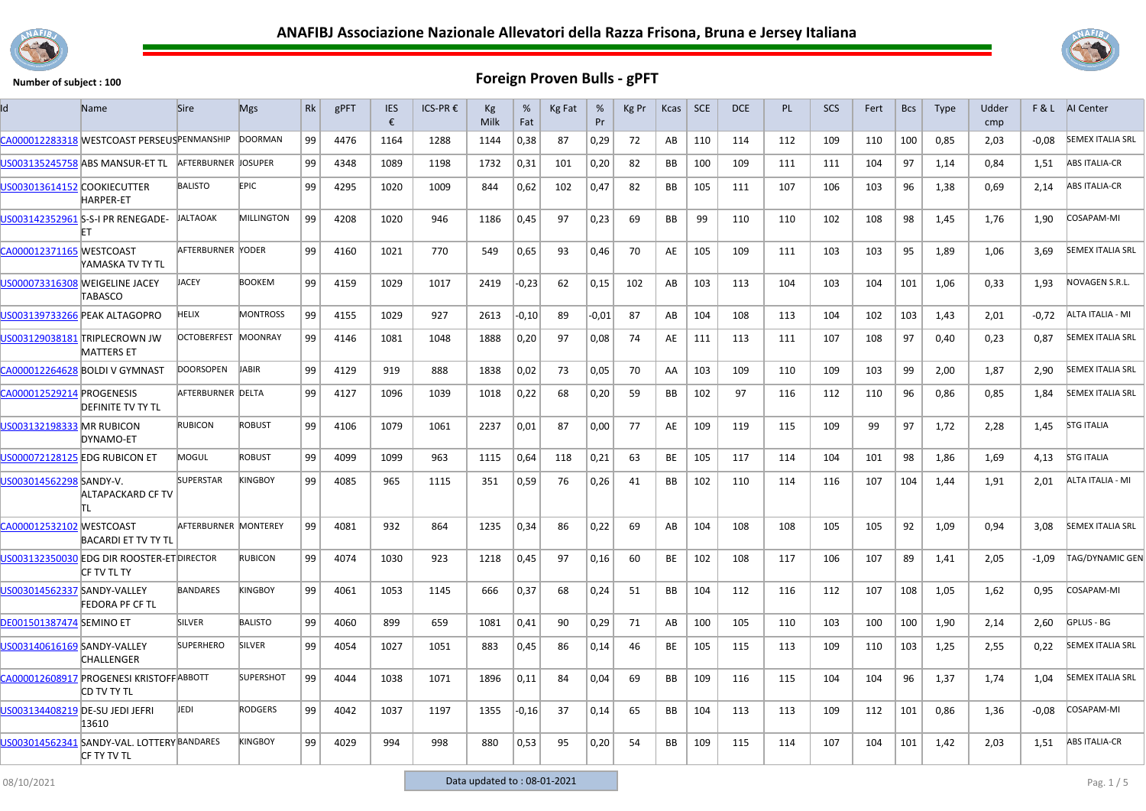



|                                 | Name                                                              | <b>Sire</b>          | <b>Mgs</b>        | Rk | gPFT | <b>IES</b><br>€ | ICS-PR € | Kg<br>Milk | %<br>Fat | Kg Fat | %<br>Pr | Kg Pr | Kcas      | SCE | DCE | <b>PL</b> | <b>SCS</b> | Fert | <b>Bcs</b> | <b>Type</b> | Udder<br>cmp |         | <b>F&amp;L</b> AI Center |
|---------------------------------|-------------------------------------------------------------------|----------------------|-------------------|----|------|-----------------|----------|------------|----------|--------|---------|-------|-----------|-----|-----|-----------|------------|------|------------|-------------|--------------|---------|--------------------------|
|                                 | CA000012283318 WESTCOAST PERSEUSPENMANSHIP                        |                      | <b>DOORMAN</b>    | 99 | 4476 | 1164            | 1288     | 1144       | 0,38     | 87     | 0,29    | 72    | AB        | 110 | 114 | 112       | 109        | 110  | 100        | 0,85        | 2,03         | $-0.08$ | <b>SEMEX ITALIA SRL</b>  |
|                                 | US003135245758 ABS MANSUR-ET TL                                   | AFTERBURNER JOSUPER  |                   | 99 | 4348 | 1089            | 1198     | 1732       | 0,31     | 101    | 0,20    | 82    | BB        | 100 | 109 | 111       | 111        | 104  | 97         | 1,14        | 0,84         | 1,51    | <b>ABS ITALIA-CR</b>     |
| US003013614152 COOKIECUTTER     | <b>HARPER-ET</b>                                                  | <b>BALISTO</b>       | <b>EPIC</b>       | 99 | 4295 | 1020            | 1009     | 844        | 0,62     | 102    | 0,47    | 82    | BB        | 105 | 111 | 107       | 106        | 103  | 96         | 1,38        | 0,69         | 2,14    | <b>ABS ITALIA-CR</b>     |
|                                 | US003142352961 S-S-I PR RENEGADE-                                 | <b>JALTAOAK</b>      | <b>MILLINGTON</b> | 99 | 4208 | 1020            | 946      | 1186       | 0,45     | 97     | 0,23    | 69    | <b>BB</b> | 99  | 110 | 110       | 102        | 108  | 98         | 1,45        | 1,76         | 1,90    | COSAPAM-MI               |
| CA000012371165 WESTCOAST        | YAMASKA TV TY TL                                                  | AFTERBURNER YODER    |                   | 99 | 4160 | 1021            | 770      | 549        | 0,65     | 93     | 0,46    | 70    | AE        | 105 | 109 | 111       | 103        | 103  | 95         | 1,89        | 1,06         | 3,69    | <b>SEMEX ITALIA SRL</b>  |
|                                 | US000073316308 WEIGELINE JACEY<br><b>TABASCO</b>                  | <b>JACEY</b>         | <b>BOOKEM</b>     | 99 | 4159 | 1029            | 1017     | 2419       | -0,23    | 62     | 0,15    | 102   | AB        | 103 | 113 | 104       | 103        | 104  | 101        | 1,06        | 0,33         | 1,93    | NOVAGEN S.R.L.           |
|                                 | US003139733266 PEAK ALTAGOPRO                                     | <b>HELIX</b>         | <b>MONTROSS</b>   | 99 | 4155 | 1029            | 927      | 2613       | $-0,10$  | 89     | $-0.01$ | 87    | AB        | 104 | 108 | 113       | 104        | 102  | 103        | 1.43        | 2.01         | $-0.72$ | ALTA ITALIA - MI         |
|                                 | US003129038181 TRIPLECROWN JW<br><b>MATTERS ET</b>                | OCTOBERFEST MOONRAY  |                   | 99 | 4146 | 1081            | 1048     | 1888       | 0,20     | 97     | 0,08    | 74    | AE        | 111 | 113 | 111       | 107        | 108  | 97         | 0,40        | 0,23         | 0,87    | <b>SEMEX ITALIA SRL</b>  |
|                                 | CA000012264628 BOLDI V GYMNAST                                    | <b>DOORSOPEN</b>     | <b>JABIR</b>      | 99 | 4129 | 919             | 888      | 1838       | 0,02     | 73     | 0.05    | 70    | AA        | 103 | 109 | 110       | 109        | 103  | 99         | 2.00        | 1.87         | 2.90    | <b>SEMEX ITALIA SRL</b>  |
| CA000012529214 PROGENESIS       | <b>DEFINITE TV TY TL</b>                                          | AFTERBURNER DELTA    |                   | 99 | 4127 | 1096            | 1039     | 1018       | 0,22     | 68     | 0,20    | 59    | BB        | 102 | 97  | 116       | 112        | 110  | 96         | 0,86        | 0,85         | 1,84    | <b>SEMEX ITALIA SRL</b>  |
| US003132198333 MR RUBICON       | DYNAMO-ET                                                         | <b>RUBICON</b>       | <b>ROBUST</b>     | 99 | 4106 | 1079            | 1061     | 2237       | 0,01     | 87     | 0,00    | 77    | AE        | 109 | 119 | 115       | 109        | 99   | 97         | 1,72        | 2,28         | 1,45    | <b>STG ITALIA</b>        |
| US000072128125 EDG RUBICON ET   |                                                                   | MOGUL                | <b>ROBUST</b>     | 99 | 4099 | 1099            | 963      | 1115       | 0,64     | 118    | 0,21    | 63    | BE        | 105 | 117 | 114       | 104        | 101  | 98         | 1,86        | 1,69         | 4,13    | <b>STG ITALIA</b>        |
| US003014562298 SANDY-V.         | ALTAPACKARD CF TV<br>IΤL                                          | <b>SUPERSTAR</b>     | <b>KINGBOY</b>    | 99 | 4085 | 965             | 1115     | 351        | 0,59     | 76     | 0,26    | 41    | BB        | 102 | 110 | 114       | 116        | 107  | 104        | 1,44        | 1,91         | 2,01    | ALTA ITALIA - MI         |
| CA000012532102 WESTCOAST        | <b>BACARDI ET TV TY TL</b>                                        | AFTERBURNER MONTEREY |                   | 99 | 4081 | 932             | 864      | 1235       | 0,34     | 86     | 0,22    | 69    | AB        | 104 | 108 | 108       | 105        | 105  | 92         | 1,09        | 0,94         | 3,08    | <b>SEMEX ITALIA SRL</b>  |
|                                 | US003132350030 EDG DIR ROOSTER-ET DIRECTOR<br>icf tv tl ty        |                      | <b>RUBICON</b>    | 99 | 4074 | 1030            | 923      | 1218       | 0,45     | 97     | 0,16    | 60    | BE        | 102 | 108 | 117       | 106        | 107  | 89         | 1,41        | 2,05         | $-1,09$ | TAG/DYNAMIC GEN          |
| US003014562337 SANDY-VALLEY     | <b>FEDORA PF CF TL</b>                                            | <b>BANDARES</b>      | <b>KINGBOY</b>    | 99 | 4061 | 1053            | 1145     | 666        | 0,37     | 68     | 0,24    | 51    | <b>BB</b> | 104 | 112 | 116       | 112        | 107  | 108        | 1,05        | 1,62         | 0,95    | COSAPAM-MI               |
| <b>DE001501387474 SEMINO ET</b> |                                                                   | <b>SILVER</b>        | <b>BALISTO</b>    | 99 | 4060 | 899             | 659      | 1081       | 0,41     | 90     | 0,29    | 71    | AB        | 100 | 105 | 110       | 103        | 100  | 100        | 1,90        | 2,14         | 2.60    | GPLUS - BG               |
| US003140616169 SANDY-VALLEY     | CHALLENGER                                                        | <b>SUPERHERO</b>     | SILVER            | 99 | 4054 | 1027            | 1051     | 883        | 0,45     | 86     | 0,14    | 46    | BE        | 105 | 115 | 113       | 109        | 110  | 103        | 1,25        | 2,55         | 0,22    | <b>SEMEX ITALIA SRL</b>  |
|                                 | CA000012608917 PROGENESI KRISTOFFABBOTT<br>CD TV TY TL            |                      | <b>SUPERSHOT</b>  | 99 | 4044 | 1038            | 1071     | 1896       | 0,11     | 84     | 0,04    | 69    | BB        | 109 | 116 | 115       | 104        | 104  | 96         | 1,37        | 1,74         | 1,04    | <b>SEMEX ITALIA SRL</b>  |
| US003134408219 DE-SU JEDI JEFRI | 13610                                                             | JEDI                 | <b>RODGERS</b>    | 99 | 4042 | 1037            | 1197     | 1355       | $-0,16$  | 37     | 0,14    | 65    | <b>BB</b> | 104 | 113 | 113       | 109        | 112  | 101        | 0,86        | 1,36         | $-0.08$ | COSAPAM-MI               |
|                                 | US003014562341 SANDY-VAL. LOTTERY BANDARES<br><b>ICF TY TV TL</b> |                      | <b>KINGBOY</b>    | 99 | 4029 | 994             | 998      | 880        | 0,53     | 95     | 0,20    | 54    | BB        | 109 | 115 | 114       | 107        | 104  | 101        | 1,42        | 2,03         | 1,51    | <b>ABS ITALIA-CR</b>     |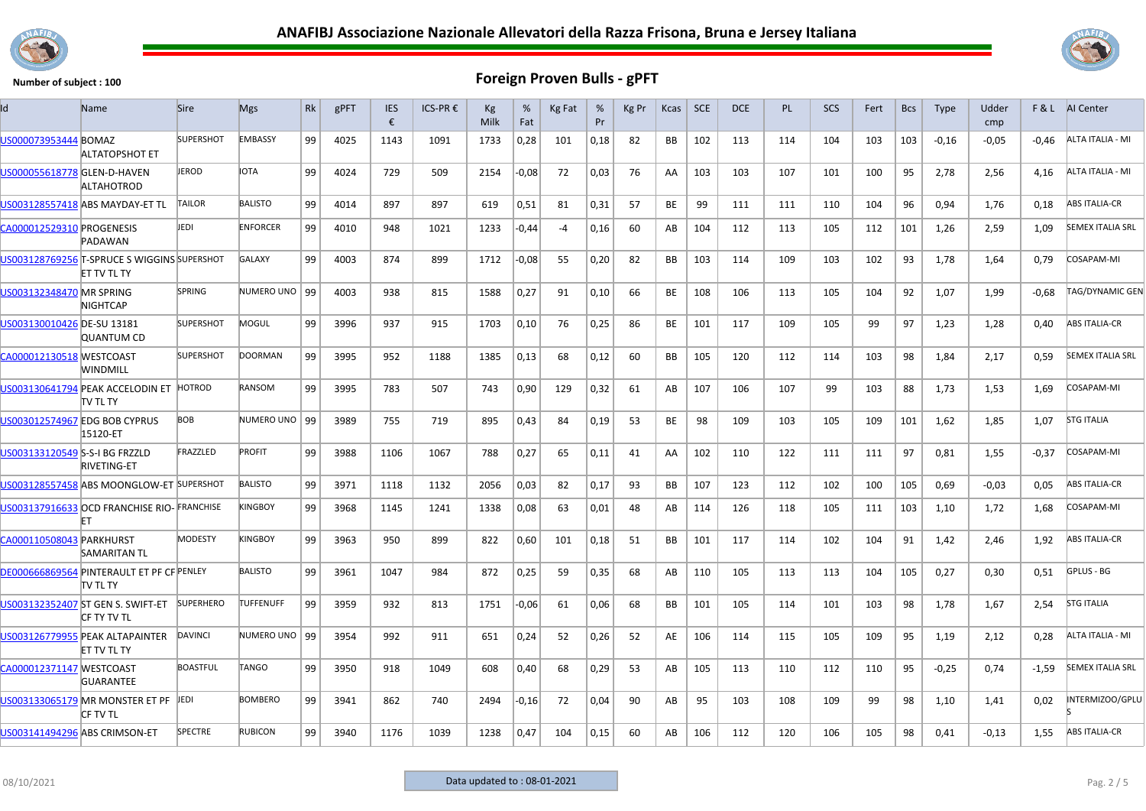



| ld                             | Name                                                       | <b>Sire</b>      | <b>Mgs</b>       | Rk | gPFT | <b>IES</b><br>€ | ICS-PR € | Kg<br>Milk | %<br>Fat | Kg Fat | %<br>Pr | Kg Pr | Kcas | <b>SCE</b> | <b>DCE</b> | <b>PL</b> | SCS | Fert | <b>Bcs</b> | <b>Type</b> | Udder<br>cmp |         | F & L AI Center         |
|--------------------------------|------------------------------------------------------------|------------------|------------------|----|------|-----------------|----------|------------|----------|--------|---------|-------|------|------------|------------|-----------|-----|------|------------|-------------|--------------|---------|-------------------------|
| US000073953444 BOMAZ           | ALTATOPSHOT ET                                             | <b>SUPERSHOT</b> | <b>EMBASSY</b>   | 99 | 4025 | 1143            | 1091     | 1733       | 0,28     | 101    | 0,18    | 82    | BB.  | 102        | 113        | 114       | 104 | 103  | 103        | $-0,16$     | $-0,05$      | $-0,46$ | ALTA ITALIA - MI        |
| US000055618778 GLEN-D-HAVEN    | ALTAHOTROD                                                 | JEROD            | <b>IOTA</b>      | 99 | 4024 | 729             | 509      | 2154       | $-0,08$  | 72     | 0,03    | 76    | AA   | 103        | 103        | 107       | 101 | 100  | 95         | 2,78        | 2,56         | 4,16    | ALTA ITALIA - MI        |
|                                | US003128557418 ABS MAYDAY-ET TL                            | <b>TAILOR</b>    | <b>BALISTO</b>   | 99 | 4014 | 897             | 897      | 619        | 0,51     | 81     | 0,31    | 57    | BE   | 99         | 111        | 111       | 110 | 104  | 96         | 0,94        | 1,76         | 0,18    | <b>ABS ITALIA-CR</b>    |
| CA000012529310 PROGENESIS      | PADAWAN                                                    | jedi             | <b>ENFORCER</b>  | 99 | 4010 | 948             | 1021     | 1233       | -0,44    | -4     | 0,16    | 60    | AB   | 104        | 112        | 113       | 105 | 112  | 101        | 1,26        | 2,59         | 1,09    | <b>SEMEX ITALIA SRL</b> |
|                                | US003128769256 T-SPRUCE S WIGGINS SUPERSHOT<br>ET TV TL TY |                  | <b>GALAXY</b>    | 99 | 4003 | 874             | 899      | 1712       | $-0,08$  | 55     | 0,20    | 82    | BB   | 103        | 114        | 109       | 103 | 102  | 93         | 1,78        | 1,64         | 0,79    | COSAPAM-MI              |
| US003132348470 MR SPRING       | <b>NIGHTCAP</b>                                            | <b>SPRING</b>    | NUMERO UNO   99  |    | 4003 | 938             | 815      | 1588       | 0,27     | 91     | 0,10    | 66    | BE   | 108        | 106        | 113       | 105 | 104  | 92         | 1,07        | 1,99         | $-0,68$ | TAG/DYNAMIC GEN         |
| US003130010426 DE-SU 13181     | <b>QUANTUM CD</b>                                          | <b>SUPERSHOT</b> | MOGUL            | 99 | 3996 | 937             | 915      | 1703       | 0,10     | 76     | 0,25    | 86    | BE   | 101        | 117        | 109       | 105 | 99   | 97         | 1,23        | 1,28         | 0,40    | <b>ABS ITALIA-CR</b>    |
| CA000012130518 WESTCOAST       | WINDMILL                                                   | <b>SUPERSHOT</b> | <b>DOORMAN</b>   | 99 | 3995 | 952             | 1188     | 1385       | 0,13     | 68     | 0,12    | 60    | BB   | 105        | 120        | 112       | 114 | 103  | 98         | 1,84        | 2,17         | 0,59    | <b>SEMEX ITALIA SRL</b> |
|                                | US003130641794 PEAK ACCELODIN ET<br>itv tl ty              | HOTROD           | RANSOM           | 99 | 3995 | 783             | 507      | 743        | 0,90     | 129    | 0,32    | 61    | AB   | 107        | 106        | 107       | 99  | 103  | 88         | 1,73        | 1,53         | 1,69    | COSAPAM-MI              |
|                                | US003012574967 EDG BOB CYPRUS<br>15120-ET                  | BOB              | NUMERO UNO   99  |    | 3989 | 755             | 719      | 895        | 0,43     | 84     | 0,19    | 53    | BE   | 98         | 109        | 103       | 105 | 109  | 101        | 1,62        | 1,85         | 1,07    | <b>STG ITALIA</b>       |
| US003133120549 S-S-I BG FRZZLD | <b>RIVETING-ET</b>                                         | FRAZZLED         | <b>PROFIT</b>    | 99 | 3988 | 1106            | 1067     | 788        | 0,27     | 65     | 0,11    | 41    | AA   | 102        | 110        | 122       | 111 | 111  | 97         | 0,81        | 1,55         | $-0,37$ | COSAPAM-MI              |
|                                | US003128557458 ABS MOONGLOW-ET SUPERSHOT                   |                  | <b>BALISTO</b>   | 99 | 3971 | 1118            | 1132     | 2056       | 0,03     | 82     | 0,17    | 93    | BB   | 107        | 123        | 112       | 102 | 100  | 105        | 0,69        | $-0.03$      | 0,05    | <b>ABS ITALIA-CR</b>    |
|                                | US003137916633 OCD FRANCHISE RIO-FRANCHISE<br>FT           |                  | KINGBOY          | 99 | 3968 | 1145            | 1241     | 1338       | 0,08     | 63     | 0,01    | 48    | AB   | 114        | 126        | 118       | 105 | 111  | 103        | 1,10        | 1,72         | 1,68    | COSAPAM-MI              |
| CA000110508043 PARKHURST       | <b>SAMARITAN TL</b>                                        | <b>MODESTY</b>   | <b>KINGBOY</b>   | 99 | 3963 | 950             | 899      | 822        | 0,60     | 101    | 0,18    | 51    | BB   | 101        | 117        | 114       | 102 | 104  | 91         | 1,42        | 2,46         | 1,92    | <b>ABS ITALIA-CR</b>    |
|                                | DE000666869564 PINTERAULT ET PF CF PENLEY<br>TV TL TY      |                  | <b>BALISTO</b>   | 99 | 3961 | 1047            | 984      | 872        | 0,25     | 59     | 0,35    | 68    | AB   | 110        | 105        | 113       | 113 | 104  | 105        | 0,27        | 0,30         | 0,51    | GPLUS - BG              |
|                                | US003132352407 ST GEN S. SWIFT-ET<br>CF TY TV TL           | <b>SUPERHERO</b> | <b>TUFFENUFF</b> | 99 | 3959 | 932             | 813      | 1751       | -0,06    | 61     | 0,06    | 68    | BB   | 101        | 105        | 114       | 101 | 103  | 98         | 1,78        | 1,67         | 2,54    | <b>STG ITALIA</b>       |
|                                | US003126779955 PEAK ALTAPAINTER<br>ET TV TL TY             | DAVINCI          | NUMERO UNO 99    |    | 3954 | 992             | 911      | 651        | 0,24     | 52     | 0,26    | 52    | AE   | 106        | 114        | 115       | 105 | 109  | 95         | 1,19        | 2,12         | 0,28    | ALTA ITALIA - MI        |
| CA000012371147 WESTCOAST       | <b>GUARANTEE</b>                                           | <b>BOASTFUL</b>  | <b>TANGO</b>     | 99 | 3950 | 918             | 1049     | 608        | 0,40     | 68     | 0,29    | 53    | AB   | 105        | 113        | 110       | 112 | 110  | 95         | $-0,25$     | 0,74         | $-1,59$ | <b>SEMEX ITALIA SRL</b> |
|                                | US003133065179 MR MONSTER ET PF JEDI<br>icf tv tl          |                  | <b>BOMBERO</b>   | 99 | 3941 | 862             | 740      | 2494       | $-0,16$  | 72     | 0,04    | 90    | AB   | 95         | 103        | 108       | 109 | 99   | 98         | 1,10        | 1,41         | 0,02    | NTERMIZOO/GPLU          |
| US003141494296 ABS CRIMSON-ET  |                                                            | <b>SPECTRE</b>   | <b>RUBICON</b>   | 99 | 3940 | 1176            | 1039     | 1238       | 0,47     | 104    | 0,15    | 60    | AB   | 106        | 112        | 120       | 106 | 105  | 98         | 0,41        | $-0,13$      | 1,55    | <b>ABS ITALIA-CR</b>    |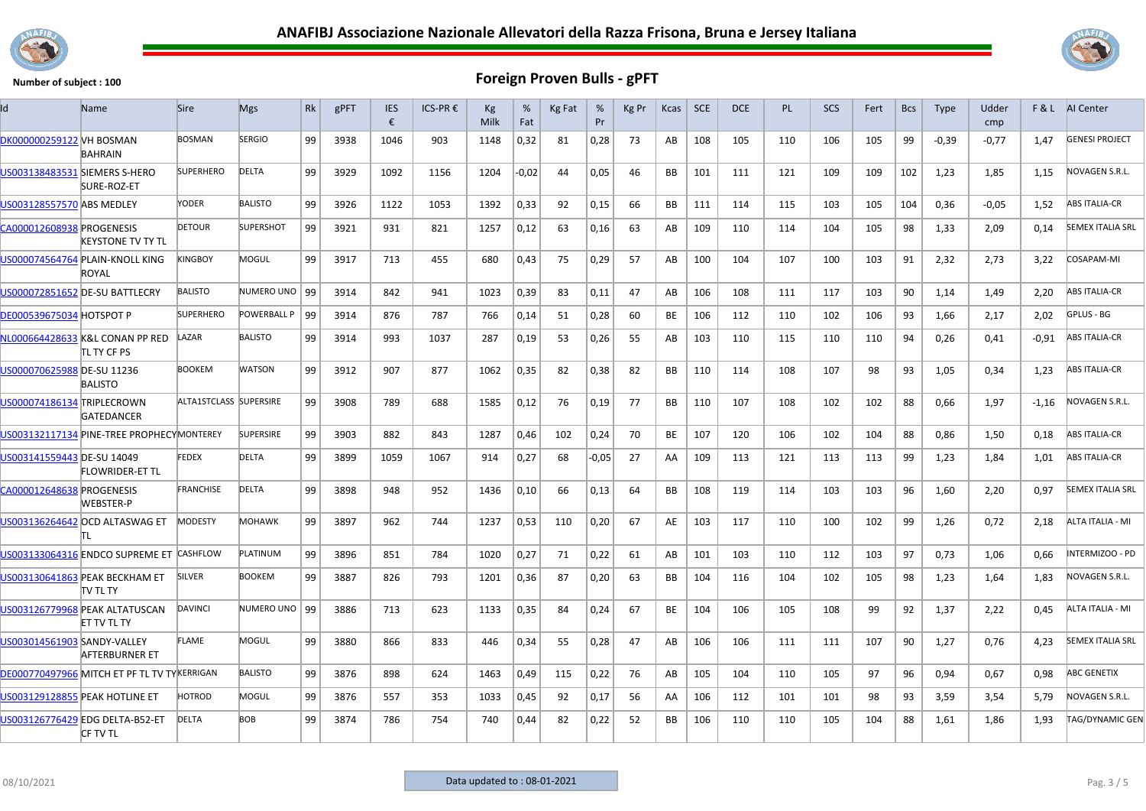



| <b>BOSMAN</b><br><b>SERGIO</b><br>DK000000259122 VH BOSMAN<br>99<br>0,32<br>0,28<br>108<br>99<br>$-0.77$<br>3938<br>1046<br>903<br>1148<br>73<br>AB<br>105<br>110<br>106<br>105<br>$-0,39$<br>1.47<br>81<br><b>BAHRAIN</b><br>99<br>US003138483531 SIEMERS S-HERO<br><b>SUPERHERO</b><br><b>DELTA</b><br>3929<br>1092<br>1156<br>0.05<br>1204<br>$-0.02$<br>46<br>BB<br>101<br>121<br>109<br>109<br>102<br>1,23<br>1,85<br>44<br>111<br>1,15<br>SURE-ROZ-ET<br>US003128557570 ABS MEDLEY<br>YODER<br><b>BALISTO</b><br>99<br>3926<br>1122<br>0,33<br>0,15<br>104<br>$-0.05$<br>1053<br>1392<br>92<br>66<br><b>BB</b><br>111<br>114<br>115<br>103<br>105<br>0,36<br>1,52<br><b>DETOUR</b><br><b>SUPERSHOT</b><br>CA000012608938 PROGENESIS<br>99<br>3921<br>931<br>821<br>0,16<br>109<br>110<br>98<br>2,09<br>0,14<br>1257<br>0,12<br>63<br>63<br>AB<br>114<br>104<br>105<br>1,33<br>KEYSTONE TV TY TL<br>US000074564764 PLAIN-KNOLL KING<br><b>INGBOY</b><br>MOGUL<br>99<br>0,29<br>57<br>3917<br>713<br>455<br>680<br>0,43<br>75<br>AB<br>100<br>104<br>107<br>100<br>103<br>91<br>2,32<br>2,73<br>3,22<br>ROYAL<br><b>BALISTO</b><br>NUMERO UNO 99<br>90<br>US000072851652 DE-SU BATTLECRY<br>3914<br>842<br>941<br>1023<br>0,39<br>83<br>0.11<br>47<br>AB<br>106<br>108<br>111<br>117<br>103<br>1.14<br>1.49<br>2.20<br><b>SUPERHERO</b><br>POWERBALL P<br><b>DE000539675034 HOTSPOT P</b><br>  99<br>876<br>787<br>0,28<br>3914<br>766<br>0,14<br>51<br>60<br>BE<br>106<br>112<br>110<br>102<br>93<br>2,17<br>2.02<br>106<br>1,66<br>NL000664428633 K&L CONAN PP RED<br>LAZAR<br><b>BALISTO</b><br>99<br>0,26<br>55<br>3914<br>993<br>1037<br>287<br>0,19<br>53<br>AB<br>103<br>110<br>115<br>110<br>110<br>94<br>0,26<br>0,41<br>-0,91<br>TL TY CF PS<br><b>BOOKEM</b><br><b>WATSON</b><br>99<br>0,38<br>US000070625988 DE-SU 11236<br>3912<br>907<br>877<br>1062<br>0,35<br>82<br>82<br>BB<br>110<br>114<br>108<br>107<br>98<br>93<br>1,05<br>0,34<br>1,23<br><b>BALISTO</b><br>ALTA1STCLASS SUPERSIRE<br>US000074186134 TRIPLECROWN<br>99<br>3908<br>789<br>688<br>1585<br>0,12<br>0,19<br>77<br>BB<br>110<br>107<br>88<br>1,97<br>76<br>108<br>102<br>102<br>0,66<br>$-1,16$<br><b>GATEDANCER</b><br><b>SUPERSIRE</b><br>US003132117134 PINE-TREE PROPHECYMONTEREY<br>99<br>3903<br>882<br>843<br>1287<br>0,46<br>102<br>0,24<br>70<br>BE<br>107<br>120<br>106<br>102<br>88<br>0,86<br>1,50<br>0,18<br>104<br><b>FEDEX</b><br>DELTA<br>US003141559443 DE-SU 14049<br>99<br>3899<br>1067<br>0,27<br>$-0,05$<br>27<br>109<br>113<br>121<br>113<br>113<br>99<br>1,23<br>1059<br>914<br>68<br>AA<br>1,84<br>1,01<br><b>FLOWRIDER-ET TL</b><br><b>FRANCHISE</b><br><b>DELTA</b><br>99<br>CA000012648638 PROGENESIS<br>3898<br>948<br>952<br>0,13<br><b>BB</b><br>108<br>119<br>96<br>1,60<br>2,20<br>0,97<br>1436<br>0,10<br>66<br>64<br>114<br>103<br>103<br><b>WEBSTER-P</b><br>US003136264642 OCD ALTASWAG ET<br><b>MODESTY</b><br><b>MOHAWK</b><br>99<br>3897<br>962<br>744<br>1237<br>0,53<br>0,20<br>67<br>AE<br>103<br>117<br>99<br>1,26<br>0,72<br>110<br>110<br>100<br>102<br>2,18<br>ΙT<br>US003133064316 ENDCO SUPREME ET CASHFLOW<br>PLATINUM<br>99<br>784<br>0,27<br>71<br>0,22<br>103<br>112<br>97<br>3896<br>851<br>1020<br>61<br>AB<br>101<br>110<br>103<br>0,73<br>1,06<br>0,66<br>US003130641863 PEAK BECKHAM ET<br><b>SILVER</b><br><b>BOOKEM</b><br>99<br>3887<br>826<br>793<br>0,20<br>104<br>98<br>1201<br>0,36<br>87<br>63<br>BB<br>116<br>104<br>102<br>105<br>1,23<br>1,64<br>1,83<br>itv tl ty<br>US003126779968 PEAK ALTATUSCAN<br><b>DAVINCI</b><br>NUMERO UNO   99<br>104<br>3886<br>713<br>623<br>1133<br>0,35<br>84<br>0,24<br>67<br>BE<br>106<br>105<br>108<br>99<br>92<br>1,37<br>2,22<br>0,45<br><b>ET TV TL TY</b><br>MOGUL<br>US003014561903 SANDY-VALLEY<br>FLAME<br>99<br>3880<br>866<br>833<br>0,34<br>47<br>106<br>90<br>0,76<br>446<br>55<br>0,28<br>AB<br>106<br>111<br>111<br>107<br>1,27<br>4,23<br><b>AFTERBURNER ET</b><br><b>BALISTO</b><br>DE000770497966 MITCH ET PF TL TV TYKERRIGAN<br>99<br>3876<br>898<br>624<br>1463<br>0,49<br>115<br>0,22<br>76<br>AB<br>105<br>104<br>110<br>105<br>97<br>96<br>0,94<br>0,67<br>0,98<br>HOTROD<br>MOGUL<br><b>US003129128855 PEAK HOTLINE ET</b><br>99<br>557<br>0,17<br>98<br>3876<br>353<br>1033<br>0,45<br>92<br>56<br>AA<br>106<br>112<br>101<br>101<br>93<br>3,59<br>3,54<br>5,79<br><b>DELTA</b><br><b>BOB</b><br>US003126776429 EDG DELTA-B52-ET<br>99<br>3874<br>786<br>754<br>82<br>0,22<br>52<br>ВB<br>106<br>110<br>88<br>1,61<br>1,93<br>740<br>0,44<br>110<br>105<br>104<br>1,86<br><b>CF TV TL</b> | Name | <b>Sire</b> | <b>Mgs</b> | Rk | gPFT | <b>IES</b><br>€ | ICS-PR € | Kg<br>Milk | %<br>Fat | Kg Fat | %<br>Pr | Kg Pr | Kcas | SCE | <b>DCE</b> | <b>PL</b> | <b>SCS</b> | Fert | <b>Bcs</b> | <b>Type</b> | Udder<br>cmp | F&L | AI Center               |
|--------------------------------------------------------------------------------------------------------------------------------------------------------------------------------------------------------------------------------------------------------------------------------------------------------------------------------------------------------------------------------------------------------------------------------------------------------------------------------------------------------------------------------------------------------------------------------------------------------------------------------------------------------------------------------------------------------------------------------------------------------------------------------------------------------------------------------------------------------------------------------------------------------------------------------------------------------------------------------------------------------------------------------------------------------------------------------------------------------------------------------------------------------------------------------------------------------------------------------------------------------------------------------------------------------------------------------------------------------------------------------------------------------------------------------------------------------------------------------------------------------------------------------------------------------------------------------------------------------------------------------------------------------------------------------------------------------------------------------------------------------------------------------------------------------------------------------------------------------------------------------------------------------------------------------------------------------------------------------------------------------------------------------------------------------------------------------------------------------------------------------------------------------------------------------------------------------------------------------------------------------------------------------------------------------------------------------------------------------------------------------------------------------------------------------------------------------------------------------------------------------------------------------------------------------------------------------------------------------------------------------------------------------------------------------------------------------------------------------------------------------------------------------------------------------------------------------------------------------------------------------------------------------------------------------------------------------------------------------------------------------------------------------------------------------------------------------------------------------------------------------------------------------------------------------------------------------------------------------------------------------------------------------------------------------------------------------------------------------------------------------------------------------------------------------------------------------------------------------------------------------------------------------------------------------------------------------------------------------------------------------------------------------------------------------------------------------------------------------------------------------------------------------------------------------------------------------------------------------------------------------------------------------------------------------------------------------------------------------------------------------------------------------------------------------------------------------------------------------------------------------------------------------------------------------------------------------------------------------------------------------------------------------------------------------------------------------------------------------------------------------------------------------------------------------------------------------------------------------------------------------------------------------------------------------------------------------------------------------------|------|-------------|------------|----|------|-----------------|----------|------------|----------|--------|---------|-------|------|-----|------------|-----------|------------|------|------------|-------------|--------------|-----|-------------------------|
|                                                                                                                                                                                                                                                                                                                                                                                                                                                                                                                                                                                                                                                                                                                                                                                                                                                                                                                                                                                                                                                                                                                                                                                                                                                                                                                                                                                                                                                                                                                                                                                                                                                                                                                                                                                                                                                                                                                                                                                                                                                                                                                                                                                                                                                                                                                                                                                                                                                                                                                                                                                                                                                                                                                                                                                                                                                                                                                                                                                                                                                                                                                                                                                                                                                                                                                                                                                                                                                                                                                                                                                                                                                                                                                                                                                                                                                                                                                                                                                                                                                                                                                                                                                                                                                                                                                                                                                                                                                                                                                                                                                                              |      |             |            |    |      |                 |          |            |          |        |         |       |      |     |            |           |            |      |            |             |              |     | <b>GENESI PROJECT</b>   |
|                                                                                                                                                                                                                                                                                                                                                                                                                                                                                                                                                                                                                                                                                                                                                                                                                                                                                                                                                                                                                                                                                                                                                                                                                                                                                                                                                                                                                                                                                                                                                                                                                                                                                                                                                                                                                                                                                                                                                                                                                                                                                                                                                                                                                                                                                                                                                                                                                                                                                                                                                                                                                                                                                                                                                                                                                                                                                                                                                                                                                                                                                                                                                                                                                                                                                                                                                                                                                                                                                                                                                                                                                                                                                                                                                                                                                                                                                                                                                                                                                                                                                                                                                                                                                                                                                                                                                                                                                                                                                                                                                                                                              |      |             |            |    |      |                 |          |            |          |        |         |       |      |     |            |           |            |      |            |             |              |     | NOVAGEN S.R.L.          |
|                                                                                                                                                                                                                                                                                                                                                                                                                                                                                                                                                                                                                                                                                                                                                                                                                                                                                                                                                                                                                                                                                                                                                                                                                                                                                                                                                                                                                                                                                                                                                                                                                                                                                                                                                                                                                                                                                                                                                                                                                                                                                                                                                                                                                                                                                                                                                                                                                                                                                                                                                                                                                                                                                                                                                                                                                                                                                                                                                                                                                                                                                                                                                                                                                                                                                                                                                                                                                                                                                                                                                                                                                                                                                                                                                                                                                                                                                                                                                                                                                                                                                                                                                                                                                                                                                                                                                                                                                                                                                                                                                                                                              |      |             |            |    |      |                 |          |            |          |        |         |       |      |     |            |           |            |      |            |             |              |     | <b>ABS ITALIA-CR</b>    |
|                                                                                                                                                                                                                                                                                                                                                                                                                                                                                                                                                                                                                                                                                                                                                                                                                                                                                                                                                                                                                                                                                                                                                                                                                                                                                                                                                                                                                                                                                                                                                                                                                                                                                                                                                                                                                                                                                                                                                                                                                                                                                                                                                                                                                                                                                                                                                                                                                                                                                                                                                                                                                                                                                                                                                                                                                                                                                                                                                                                                                                                                                                                                                                                                                                                                                                                                                                                                                                                                                                                                                                                                                                                                                                                                                                                                                                                                                                                                                                                                                                                                                                                                                                                                                                                                                                                                                                                                                                                                                                                                                                                                              |      |             |            |    |      |                 |          |            |          |        |         |       |      |     |            |           |            |      |            |             |              |     | <b>SEMEX ITALIA SRL</b> |
|                                                                                                                                                                                                                                                                                                                                                                                                                                                                                                                                                                                                                                                                                                                                                                                                                                                                                                                                                                                                                                                                                                                                                                                                                                                                                                                                                                                                                                                                                                                                                                                                                                                                                                                                                                                                                                                                                                                                                                                                                                                                                                                                                                                                                                                                                                                                                                                                                                                                                                                                                                                                                                                                                                                                                                                                                                                                                                                                                                                                                                                                                                                                                                                                                                                                                                                                                                                                                                                                                                                                                                                                                                                                                                                                                                                                                                                                                                                                                                                                                                                                                                                                                                                                                                                                                                                                                                                                                                                                                                                                                                                                              |      |             |            |    |      |                 |          |            |          |        |         |       |      |     |            |           |            |      |            |             |              |     | COSAPAM-MI              |
|                                                                                                                                                                                                                                                                                                                                                                                                                                                                                                                                                                                                                                                                                                                                                                                                                                                                                                                                                                                                                                                                                                                                                                                                                                                                                                                                                                                                                                                                                                                                                                                                                                                                                                                                                                                                                                                                                                                                                                                                                                                                                                                                                                                                                                                                                                                                                                                                                                                                                                                                                                                                                                                                                                                                                                                                                                                                                                                                                                                                                                                                                                                                                                                                                                                                                                                                                                                                                                                                                                                                                                                                                                                                                                                                                                                                                                                                                                                                                                                                                                                                                                                                                                                                                                                                                                                                                                                                                                                                                                                                                                                                              |      |             |            |    |      |                 |          |            |          |        |         |       |      |     |            |           |            |      |            |             |              |     | <b>ABS ITALIA-CR</b>    |
|                                                                                                                                                                                                                                                                                                                                                                                                                                                                                                                                                                                                                                                                                                                                                                                                                                                                                                                                                                                                                                                                                                                                                                                                                                                                                                                                                                                                                                                                                                                                                                                                                                                                                                                                                                                                                                                                                                                                                                                                                                                                                                                                                                                                                                                                                                                                                                                                                                                                                                                                                                                                                                                                                                                                                                                                                                                                                                                                                                                                                                                                                                                                                                                                                                                                                                                                                                                                                                                                                                                                                                                                                                                                                                                                                                                                                                                                                                                                                                                                                                                                                                                                                                                                                                                                                                                                                                                                                                                                                                                                                                                                              |      |             |            |    |      |                 |          |            |          |        |         |       |      |     |            |           |            |      |            |             |              |     | GPLUS - BG              |
|                                                                                                                                                                                                                                                                                                                                                                                                                                                                                                                                                                                                                                                                                                                                                                                                                                                                                                                                                                                                                                                                                                                                                                                                                                                                                                                                                                                                                                                                                                                                                                                                                                                                                                                                                                                                                                                                                                                                                                                                                                                                                                                                                                                                                                                                                                                                                                                                                                                                                                                                                                                                                                                                                                                                                                                                                                                                                                                                                                                                                                                                                                                                                                                                                                                                                                                                                                                                                                                                                                                                                                                                                                                                                                                                                                                                                                                                                                                                                                                                                                                                                                                                                                                                                                                                                                                                                                                                                                                                                                                                                                                                              |      |             |            |    |      |                 |          |            |          |        |         |       |      |     |            |           |            |      |            |             |              |     | <b>ABS ITALIA-CR</b>    |
|                                                                                                                                                                                                                                                                                                                                                                                                                                                                                                                                                                                                                                                                                                                                                                                                                                                                                                                                                                                                                                                                                                                                                                                                                                                                                                                                                                                                                                                                                                                                                                                                                                                                                                                                                                                                                                                                                                                                                                                                                                                                                                                                                                                                                                                                                                                                                                                                                                                                                                                                                                                                                                                                                                                                                                                                                                                                                                                                                                                                                                                                                                                                                                                                                                                                                                                                                                                                                                                                                                                                                                                                                                                                                                                                                                                                                                                                                                                                                                                                                                                                                                                                                                                                                                                                                                                                                                                                                                                                                                                                                                                                              |      |             |            |    |      |                 |          |            |          |        |         |       |      |     |            |           |            |      |            |             |              |     | <b>ABS ITALIA-CR</b>    |
|                                                                                                                                                                                                                                                                                                                                                                                                                                                                                                                                                                                                                                                                                                                                                                                                                                                                                                                                                                                                                                                                                                                                                                                                                                                                                                                                                                                                                                                                                                                                                                                                                                                                                                                                                                                                                                                                                                                                                                                                                                                                                                                                                                                                                                                                                                                                                                                                                                                                                                                                                                                                                                                                                                                                                                                                                                                                                                                                                                                                                                                                                                                                                                                                                                                                                                                                                                                                                                                                                                                                                                                                                                                                                                                                                                                                                                                                                                                                                                                                                                                                                                                                                                                                                                                                                                                                                                                                                                                                                                                                                                                                              |      |             |            |    |      |                 |          |            |          |        |         |       |      |     |            |           |            |      |            |             |              |     | NOVAGEN S.R.L.          |
|                                                                                                                                                                                                                                                                                                                                                                                                                                                                                                                                                                                                                                                                                                                                                                                                                                                                                                                                                                                                                                                                                                                                                                                                                                                                                                                                                                                                                                                                                                                                                                                                                                                                                                                                                                                                                                                                                                                                                                                                                                                                                                                                                                                                                                                                                                                                                                                                                                                                                                                                                                                                                                                                                                                                                                                                                                                                                                                                                                                                                                                                                                                                                                                                                                                                                                                                                                                                                                                                                                                                                                                                                                                                                                                                                                                                                                                                                                                                                                                                                                                                                                                                                                                                                                                                                                                                                                                                                                                                                                                                                                                                              |      |             |            |    |      |                 |          |            |          |        |         |       |      |     |            |           |            |      |            |             |              |     | <b>ABS ITALIA-CR</b>    |
|                                                                                                                                                                                                                                                                                                                                                                                                                                                                                                                                                                                                                                                                                                                                                                                                                                                                                                                                                                                                                                                                                                                                                                                                                                                                                                                                                                                                                                                                                                                                                                                                                                                                                                                                                                                                                                                                                                                                                                                                                                                                                                                                                                                                                                                                                                                                                                                                                                                                                                                                                                                                                                                                                                                                                                                                                                                                                                                                                                                                                                                                                                                                                                                                                                                                                                                                                                                                                                                                                                                                                                                                                                                                                                                                                                                                                                                                                                                                                                                                                                                                                                                                                                                                                                                                                                                                                                                                                                                                                                                                                                                                              |      |             |            |    |      |                 |          |            |          |        |         |       |      |     |            |           |            |      |            |             |              |     | <b>ABS ITALIA-CR</b>    |
|                                                                                                                                                                                                                                                                                                                                                                                                                                                                                                                                                                                                                                                                                                                                                                                                                                                                                                                                                                                                                                                                                                                                                                                                                                                                                                                                                                                                                                                                                                                                                                                                                                                                                                                                                                                                                                                                                                                                                                                                                                                                                                                                                                                                                                                                                                                                                                                                                                                                                                                                                                                                                                                                                                                                                                                                                                                                                                                                                                                                                                                                                                                                                                                                                                                                                                                                                                                                                                                                                                                                                                                                                                                                                                                                                                                                                                                                                                                                                                                                                                                                                                                                                                                                                                                                                                                                                                                                                                                                                                                                                                                                              |      |             |            |    |      |                 |          |            |          |        |         |       |      |     |            |           |            |      |            |             |              |     | <b>SEMEX ITALIA SRL</b> |
|                                                                                                                                                                                                                                                                                                                                                                                                                                                                                                                                                                                                                                                                                                                                                                                                                                                                                                                                                                                                                                                                                                                                                                                                                                                                                                                                                                                                                                                                                                                                                                                                                                                                                                                                                                                                                                                                                                                                                                                                                                                                                                                                                                                                                                                                                                                                                                                                                                                                                                                                                                                                                                                                                                                                                                                                                                                                                                                                                                                                                                                                                                                                                                                                                                                                                                                                                                                                                                                                                                                                                                                                                                                                                                                                                                                                                                                                                                                                                                                                                                                                                                                                                                                                                                                                                                                                                                                                                                                                                                                                                                                                              |      |             |            |    |      |                 |          |            |          |        |         |       |      |     |            |           |            |      |            |             |              |     | ALTA ITALIA - MI        |
|                                                                                                                                                                                                                                                                                                                                                                                                                                                                                                                                                                                                                                                                                                                                                                                                                                                                                                                                                                                                                                                                                                                                                                                                                                                                                                                                                                                                                                                                                                                                                                                                                                                                                                                                                                                                                                                                                                                                                                                                                                                                                                                                                                                                                                                                                                                                                                                                                                                                                                                                                                                                                                                                                                                                                                                                                                                                                                                                                                                                                                                                                                                                                                                                                                                                                                                                                                                                                                                                                                                                                                                                                                                                                                                                                                                                                                                                                                                                                                                                                                                                                                                                                                                                                                                                                                                                                                                                                                                                                                                                                                                                              |      |             |            |    |      |                 |          |            |          |        |         |       |      |     |            |           |            |      |            |             |              |     | INTERMIZOO - PD         |
|                                                                                                                                                                                                                                                                                                                                                                                                                                                                                                                                                                                                                                                                                                                                                                                                                                                                                                                                                                                                                                                                                                                                                                                                                                                                                                                                                                                                                                                                                                                                                                                                                                                                                                                                                                                                                                                                                                                                                                                                                                                                                                                                                                                                                                                                                                                                                                                                                                                                                                                                                                                                                                                                                                                                                                                                                                                                                                                                                                                                                                                                                                                                                                                                                                                                                                                                                                                                                                                                                                                                                                                                                                                                                                                                                                                                                                                                                                                                                                                                                                                                                                                                                                                                                                                                                                                                                                                                                                                                                                                                                                                                              |      |             |            |    |      |                 |          |            |          |        |         |       |      |     |            |           |            |      |            |             |              |     | NOVAGEN S.R.L.          |
|                                                                                                                                                                                                                                                                                                                                                                                                                                                                                                                                                                                                                                                                                                                                                                                                                                                                                                                                                                                                                                                                                                                                                                                                                                                                                                                                                                                                                                                                                                                                                                                                                                                                                                                                                                                                                                                                                                                                                                                                                                                                                                                                                                                                                                                                                                                                                                                                                                                                                                                                                                                                                                                                                                                                                                                                                                                                                                                                                                                                                                                                                                                                                                                                                                                                                                                                                                                                                                                                                                                                                                                                                                                                                                                                                                                                                                                                                                                                                                                                                                                                                                                                                                                                                                                                                                                                                                                                                                                                                                                                                                                                              |      |             |            |    |      |                 |          |            |          |        |         |       |      |     |            |           |            |      |            |             |              |     | ALTA ITALIA - MI        |
|                                                                                                                                                                                                                                                                                                                                                                                                                                                                                                                                                                                                                                                                                                                                                                                                                                                                                                                                                                                                                                                                                                                                                                                                                                                                                                                                                                                                                                                                                                                                                                                                                                                                                                                                                                                                                                                                                                                                                                                                                                                                                                                                                                                                                                                                                                                                                                                                                                                                                                                                                                                                                                                                                                                                                                                                                                                                                                                                                                                                                                                                                                                                                                                                                                                                                                                                                                                                                                                                                                                                                                                                                                                                                                                                                                                                                                                                                                                                                                                                                                                                                                                                                                                                                                                                                                                                                                                                                                                                                                                                                                                                              |      |             |            |    |      |                 |          |            |          |        |         |       |      |     |            |           |            |      |            |             |              |     | <b>SEMEX ITALIA SRL</b> |
|                                                                                                                                                                                                                                                                                                                                                                                                                                                                                                                                                                                                                                                                                                                                                                                                                                                                                                                                                                                                                                                                                                                                                                                                                                                                                                                                                                                                                                                                                                                                                                                                                                                                                                                                                                                                                                                                                                                                                                                                                                                                                                                                                                                                                                                                                                                                                                                                                                                                                                                                                                                                                                                                                                                                                                                                                                                                                                                                                                                                                                                                                                                                                                                                                                                                                                                                                                                                                                                                                                                                                                                                                                                                                                                                                                                                                                                                                                                                                                                                                                                                                                                                                                                                                                                                                                                                                                                                                                                                                                                                                                                                              |      |             |            |    |      |                 |          |            |          |        |         |       |      |     |            |           |            |      |            |             |              |     | <b>ABC GENETIX</b>      |
|                                                                                                                                                                                                                                                                                                                                                                                                                                                                                                                                                                                                                                                                                                                                                                                                                                                                                                                                                                                                                                                                                                                                                                                                                                                                                                                                                                                                                                                                                                                                                                                                                                                                                                                                                                                                                                                                                                                                                                                                                                                                                                                                                                                                                                                                                                                                                                                                                                                                                                                                                                                                                                                                                                                                                                                                                                                                                                                                                                                                                                                                                                                                                                                                                                                                                                                                                                                                                                                                                                                                                                                                                                                                                                                                                                                                                                                                                                                                                                                                                                                                                                                                                                                                                                                                                                                                                                                                                                                                                                                                                                                                              |      |             |            |    |      |                 |          |            |          |        |         |       |      |     |            |           |            |      |            |             |              |     | NOVAGEN S.R.L.          |
|                                                                                                                                                                                                                                                                                                                                                                                                                                                                                                                                                                                                                                                                                                                                                                                                                                                                                                                                                                                                                                                                                                                                                                                                                                                                                                                                                                                                                                                                                                                                                                                                                                                                                                                                                                                                                                                                                                                                                                                                                                                                                                                                                                                                                                                                                                                                                                                                                                                                                                                                                                                                                                                                                                                                                                                                                                                                                                                                                                                                                                                                                                                                                                                                                                                                                                                                                                                                                                                                                                                                                                                                                                                                                                                                                                                                                                                                                                                                                                                                                                                                                                                                                                                                                                                                                                                                                                                                                                                                                                                                                                                                              |      |             |            |    |      |                 |          |            |          |        |         |       |      |     |            |           |            |      |            |             |              |     | TAG/DYNAMIC GEN         |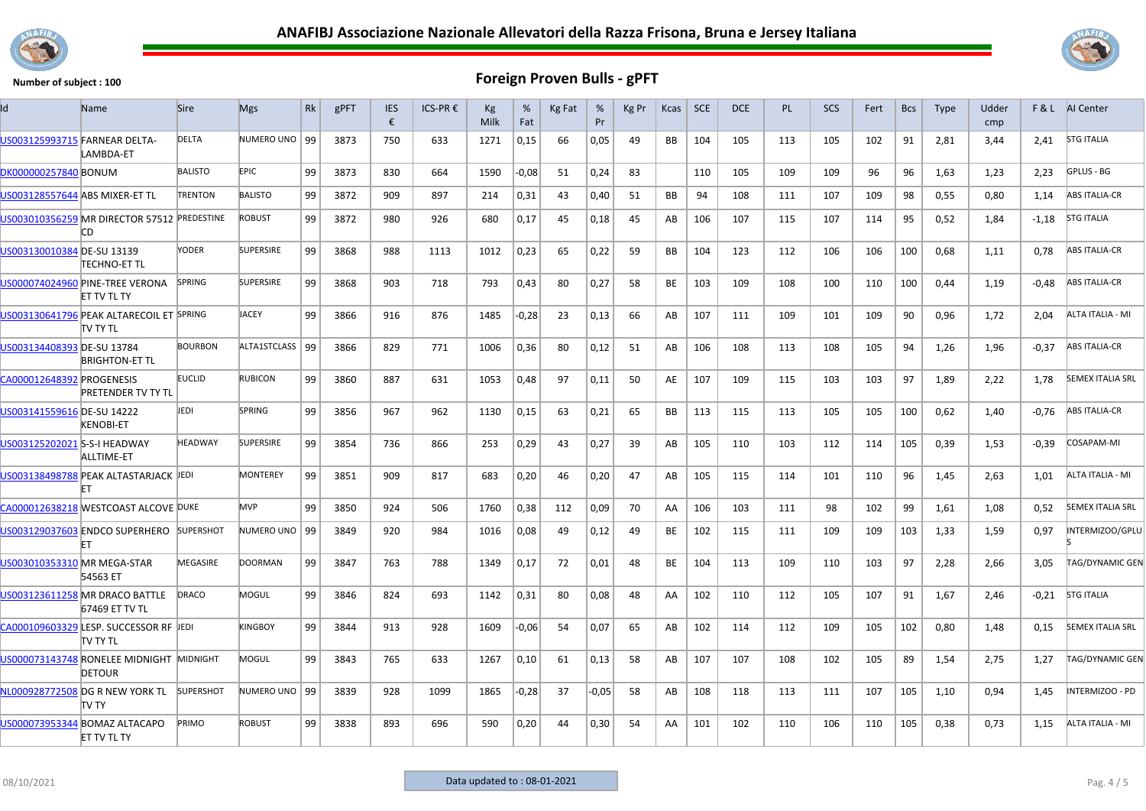



| Id                             | Name                                                      | Sire             | <b>Mgs</b>        | <b>Rk</b> | gPFT | <b>IES</b><br>€ | ICS-PR€ | Kg<br>Milk | %<br>Fat | Kg Fat | %<br>Pr | Kg Pr | <b>Kcas</b> | <b>SCE</b> | <b>DCE</b> | <b>PL</b> | <b>SCS</b> | Fert | <b>Bcs</b> | <b>Type</b> | Udder<br>cmp |         | F & L AI Center         |
|--------------------------------|-----------------------------------------------------------|------------------|-------------------|-----------|------|-----------------|---------|------------|----------|--------|---------|-------|-------------|------------|------------|-----------|------------|------|------------|-------------|--------------|---------|-------------------------|
| US003125993715 FARNEAR DELTA-  | LAMBDA-ET                                                 | <b>DELTA</b>     | NUMERO UNO   99   |           | 3873 | 750             | 633     | 1271       | 0,15     | 66     | 0,05    | 49    | <b>BB</b>   | 104        | 105        | 113       | 105        | 102  | 91         | 2,81        | 3,44         | 2,41    | <b>STG ITALIA</b>       |
| DK000000257840 BONUM           |                                                           | <b>BALISTO</b>   | EPIC.             | 99        | 3873 | 830             | 664     | 1590       | $-0.08$  | 51     | 0.24    | 83    |             | 110        | 105        | 109       | 109        | 96   | 96         | 1.63        | 1.23         | 2.23    | GPLUS - BG              |
| US003128557644 ABS MIXER-ET TL |                                                           | <b>TRENTON</b>   | <b>BALISTO</b>    | 99        | 3872 | 909             | 897     | 214        | 0,31     | 43     | 0.40    | 51    | <b>BB</b>   | 94         | 108        | 111       | 107        | 109  | 98         | 0.55        | 0.80         | 1.14    | <b>ABS ITALIA-CR</b>    |
|                                | US003010356259 MR DIRECTOR 57512 PREDESTINE<br>СD         |                  | <b>ROBUST</b>     | 99        | 3872 | 980             | 926     | 680        | 0,17     | 45     | 0,18    | 45    | AB          | 106        | 107        | 115       | 107        | 114  | 95         | 0,52        | 1,84         | $-1,18$ | <b>STG ITALIA</b>       |
| US003130010384 DE-SU 13139     | TECHNO-ET TL                                              | YODER            | <b>SUPERSIRE</b>  | 99        | 3868 | 988             | 1113    | 1012       | 0,23     | 65     | 0,22    | 59    | BB          | 104        | 123        | 112       | 106        | 106  | 100        | 0,68        | 1,11         | 0,78    | <b>ABS ITALIA-CR</b>    |
|                                | US000074024960 PINE-TREE VERONA<br><b>ET TV TL TY</b>     | <b>SPRING</b>    | <b>SUPERSIRE</b>  | 99        | 3868 | 903             | 718     | 793        | 0,43     | 80     | 0,27    | 58    | BE          | 103        | 109        | 108       | 100        | 110  | 100        | 0.44        | 1,19         | $-0.48$ | <b>ABS ITALIA-CR</b>    |
|                                | US003130641796 PEAK ALTARECOIL ET SPRING<br>itv ty tl     |                  | <b>JACEY</b>      | 99        | 3866 | 916             | 876     | 1485       | $-0.28$  | 23     | 0.13    | 66    | AB          | 107        | 111        | 109       | 101        | 109  | 90         | 0.96        | 1,72         | 2.04    | ALTA ITALIA - MI        |
| US003134408393 DE-SU 13784     | <b>BRIGHTON-ET TL</b>                                     | <b>BOURBON</b>   | ALTA1STCLASS   99 |           | 3866 | 829             | 771     | 1006       | 0,36     | 80     | 0,12    | 51    | AB          | 106        | 108        | 113       | 108        | 105  | 94         | 1,26        | 1,96         | $-0.37$ | <b>ABS ITALIA-CR</b>    |
| CA000012648392 PROGENESIS      | <b>PRETENDER TV TY TL</b>                                 | <b>EUCLID</b>    | <b>RUBICON</b>    | 99        | 3860 | 887             | 631     | 1053       | 0,48     | 97     | 0,11    | 50    | AE          | 107        | 109        | 115       | 103        | 103  | 97         | 1,89        | 2,22         | 1,78    | <b>SEMEX ITALIA SRL</b> |
| US003141559616 DE-SU 14222     | <b>KENOBI-ET</b>                                          | JEDI             | SPRING            | 99        | 3856 | 967             | 962     | 1130       | 0,15     | 63     | 0,21    | 65    | <b>BB</b>   | 113        | 115        | 113       | 105        | 105  | 100        | 0,62        | 1,40         | -0,76   | <b>ABS ITALIA-CR</b>    |
| US003125202021 S-S-I HEADWAY   | <b>ALLTIME-ET</b>                                         | <b>HEADWAY</b>   | <b>SUPERSIRE</b>  | 99        | 3854 | 736             | 866     | 253        | 0,29     | 43     | 0,27    | 39    | AB          | 105        | 110        | 103       | 112        | 114  | 105        | 0,39        | 1,53         | $-0,39$ | COSAPAM-MI              |
|                                | US003138498788 PEAK ALTASTARJACK JEDI                     |                  | MONTEREY          | 99        | 3851 | 909             | 817     | 683        | 0,20     | 46     | 0,20    | 47    | AB          | 105        | 115        | 114       | 101        | 110  | 96         | 1,45        | 2,63         | 1,01    | ALTA ITALIA - MI        |
|                                | CA000012638218 WESTCOAST ALCOVE DUKE                      |                  | <b>MVP</b>        | 99        | 3850 | 924             | 506     | 1760       | 0,38     | 112    | 0.09    | 70    | AA          | 106        | 103        | 111       | 98         | 102  | 99         | 1.61        | 1,08         | 0,52    | <b>SEMEX ITALIA SRL</b> |
|                                | US003129037603 ENDCO SUPERHERO                            | <b>SUPERSHOT</b> | NUMERO UNO   99   |           | 3849 | 920             | 984     | 1016       | 0,08     | 49     | 0,12    | 49    | BE          | 102        | 115        | 111       | 109        | 109  | 103        | 1,33        | 1,59         | 0,97    | INTERMIZOO/GPLU         |
| US003010353310 MR MEGA-STAR    | 54563 ET                                                  | MEGASIRE         | <b>DOORMAN</b>    | 99        | 3847 | 763             | 788     | 1349       | 0,17     | 72     | 0,01    | 48    | BE          | 104        | 113        | 109       | 110        | 103  | 97         | 2,28        | 2,66         | 3,05    | TAG/DYNAMIC GEN         |
|                                | US003123611258 MR DRACO BATTLE<br>67469 ET TV TL          | DRACO            | MOGUL             | 99        | 3846 | 824             | 693     | 1142       | 0,31     | 80     | 0,08    | 48    | AA          | 102        | 110        | 112       | 105        | 107  | 91         | 1,67        | 2,46         | $-0,21$ | <b>STG ITALIA</b>       |
|                                | CA000109603329 LESP. SUCCESSOR RF JEDI<br>itv ty tl       |                  | <b>KINGBOY</b>    | 99        | 3844 | 913             | 928     | 1609       | $-0.06$  | 54     | 0,07    | 65    | AB          | 102        | 114        | 112       | 109        | 105  | 102        | 0,80        | 1.48         | 0.15    | <b>SEMEX ITALIA SRL</b> |
|                                | US000073143748 RONELEE MIDNIGHT MIDNIGHT<br><b>DETOUR</b> |                  | <b>MOGUL</b>      | 99        | 3843 | 765             | 633     | 1267       | 0,10     | 61     | 0,13    | 58    | AB          | 107        | 107        | 108       | 102        | 105  | 89         | 1,54        | 2,75         | 1,27    | <b>TAG/DYNAMIC GEN</b>  |
|                                | NL000928772508 DG R NEW YORK TL<br>TV TY                  | <b>SUPERSHOT</b> | NUMERO UNO   99   |           | 3839 | 928             | 1099    | 1865       | $-0,28$  | 37     | $-0,05$ | 58    | AB          | 108        | 118        | 113       | 111        | 107  | 105        | 1,10        | 0,94         | 1,45    | INTERMIZOO - PD         |
|                                | US000073953344 BOMAZ ALTACAPO<br>ET TV TL TY              | PRIMO            | <b>ROBUST</b>     | 99        | 3838 | 893             | 696     | 590        | 0,20     | 44     | 0,30    | 54    | AA          | 101        | 102        | 110       | 106        | 110  | 105        | 0,38        | 0,73         | 1,15    | ALTA ITALIA - MI        |